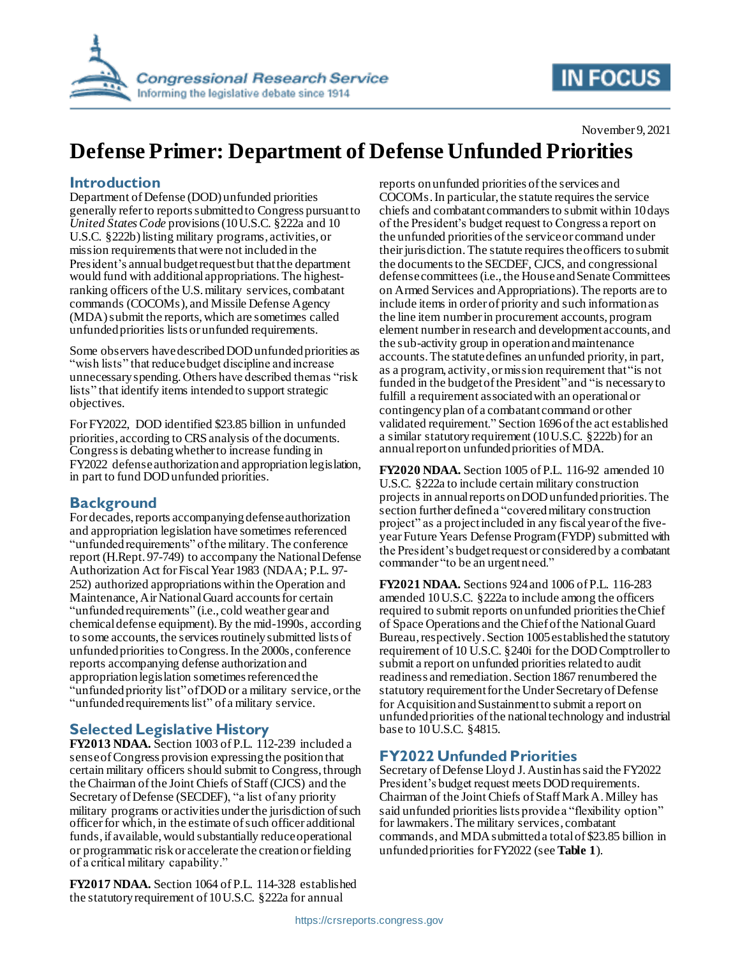

# **IN FOCUS**

#### November 9, 2021

# **Defense Primer: Department of Defense Unfunded Priorities**

#### **Introduction**

Department of Defense (DOD) unfunded priorities generally refer to reports submitted to Congress pursuant to *United States Code* provisions (10 U.S.C. §222a and 10 U.S.C. §222b) listing military programs, activities, or mission requirements that were not included in the President's annual budget request but that the department would fund with additional appropriations. The highestranking officers of the U.S. military services, combatant commands (COCOMs), and Missile Defense Agency (MDA) submit the reports, which are sometimes called unfunded priorities lists or unfunded requirements.

Some observers have described DOD unfunded priorities as "wish lists" that reduce budget discipline and increase unnecessary spending. Others have described them as "risk lists" that identify items intended to support strategic objectives.

For FY2022, DOD identified \$23.85 billion in unfunded priorities, according to CRS analysis of the documents. Congress is debating whether to increase funding in FY2022 defense authorization and appropriation legislation, in part to fund DOD unfunded priorities.

## **Background**

For decades, reports accompanying defense authorization and appropriation legislation have sometimes referenced "unfunded requirements" of the military.The conference report (H.Rept. 97-749) to accompany the National Defense Authorization Act for Fiscal Year 1983 (NDAA; P.L. 97- 252) authorized appropriations within the Operation and Maintenance, Air National Guard accounts for certain "unfunded requirements" (i.e., cold weather gear and chemical defense equipment). By the mid-1990s, according to some accounts, the services routinely submitted lists of unfunded priorities toCongress. In the 2000s, conference reports accompanying defense authorization and appropriation legislation sometimes referencedthe "unfunded priority list" of DOD or a military service, or the "unfunded requirements list" of a military service.

## **Selected Legislative History**

**FY2013 NDAA.** Section 1003 of P.L. 112-239 included a sense of Congress provision expressingthe position that certain military officers should submit to Congress, through the Chairman of the Joint Chiefs of Staff(CJCS) and the Secretary of Defense (SECDEF), "a list of any priority military programs or activities under the jurisdiction of such officer for which, in the estimate of such officer additional funds, if available, would substantially reduce operational or programmatic risk or accelerate the creation or fielding of a critical military capability."

**FY2017 NDAA.** Section 1064 of P.L. 114-328 established the statutory requirement of 10 U.S.C. §222a for annual

reports on unfunded priorities of the services and COCOMs. In particular, the statute requires the service chiefs and combatant commandersto submit within 10 days of the President's budget request to Congress a report on the unfunded priorities of the serviceor command under their jurisdiction. The statute requires the officers to submit the documents to the SECDEF, CJCS, and congressional defense committees(i.e., the House and Senate Committees on Armed Services and Appropriations).The reports are to include items in order of priority and such information as the line item number in procurement accounts, program element number in research and development accounts, and the sub-activity group in operation and maintenance accounts. The statute defines an unfunded priority, in part, as a program, activity, or mission requirement that "is not funded in the budget of the President"and "is necessary to fulfill a requirement associated with an operational or contingency plan of a combatant command or other validated requirement." Section 1696 of the act established a similar statutory requirement  $(10 U.S.C. §222b)$  for an annual report on unfunded priorities of MDA.

**FY2020 NDAA.** Section 1005 of P.L. 116-92 amended 10 U.S.C. §222a to include certain military construction projects in annual reports on DOD unfunded priorities. The section further defined a "covered military construction project" as a project included in any fiscal year of the fiveyear Future Years Defense Program (FYDP) submitted with the President's budget request or considered by a combatant commander "to be an urgent need."

**FY2021 NDAA.** Sections 924 and 1006 of P.L. 116-283 amended 10 U.S.C. §222a to include among the officers required to submit reports on unfunded priorities the Chief of Space Operations and the Chief of the National Guard Bureau, respectively.Section 1005 established the statutory requirement of 10 U.S.C. §240i for the DOD Comptrollerto submit a report on unfunded priorities related to audit readiness and remediation. Section 1867 renumbered the statutory requirement for the Under Secretary of Defense for Acquisition and Sustainment to submit a report on unfunded priorities of the national technology and industrial base to 10 U.S.C. §4815.

## **FY2022 Unfunded Priorities**

Secretary of Defense Lloyd J. Austin has said the FY2022 President's budget request meets DOD requirements. Chairman of the Joint Chiefs of Staff Mark A. Milley has said unfunded priorities lists provide a "flexibility option" for lawmakers.The military services, combatant commands, and MDAsubmitted a total of \$23.85 billion in unfunded priorities for FY2022 (see **[Table 1](#page-1-0)**).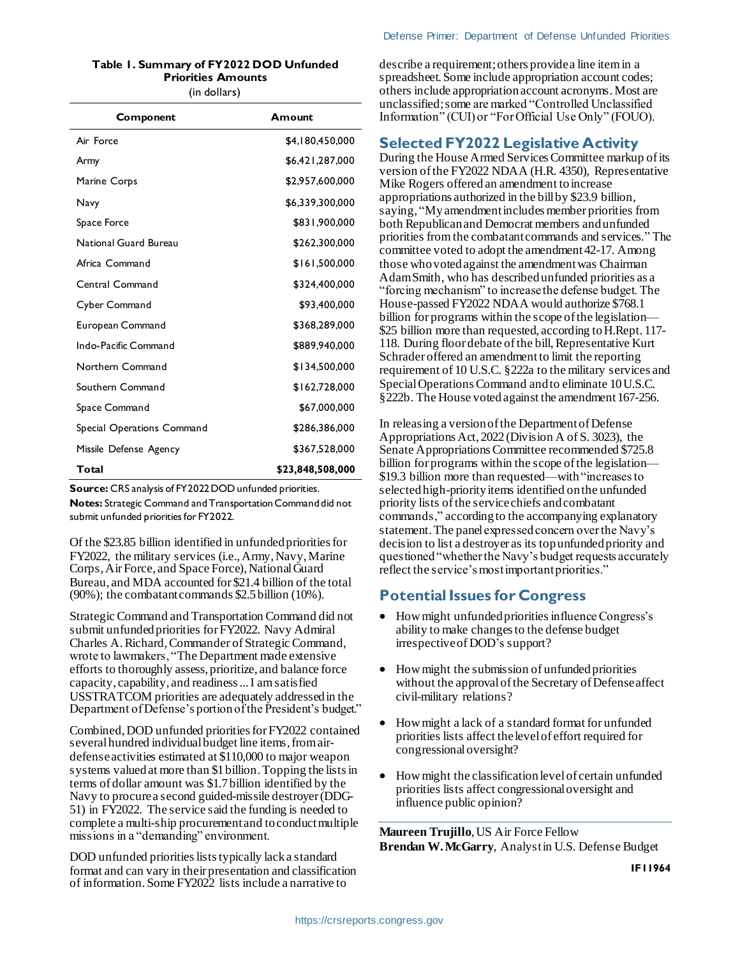#### <span id="page-1-0"></span>**Table 1. Summary of FY2022 DOD Unfunded Priorities Amounts**

(in dollars)

| Component                  | Amount           |
|----------------------------|------------------|
| Air Force                  | \$4,180,450,000  |
| Army                       | \$6,421,287,000  |
| Marine Corps               | \$2,957,600,000  |
| Navy                       | \$6,339,300,000  |
| Space Force                | \$831,900,000    |
| National Guard Bureau      | \$262,300,000    |
| Africa Command             | \$161,500,000    |
| Central Command            | \$324,400,000    |
| Cyber Command              | \$93,400,000     |
| European Command           | \$368,289,000    |
| Indo-Pacific Command       | \$889,940,000    |
| Northern Command           | \$134,500,000    |
| Southern Command           | \$162,728,000    |
| Space Command              | \$67,000,000     |
| Special Operations Command | \$286,386,000    |
| Missile Defense Agency     | \$367,528,000    |
| Total                      | \$23,848,508,000 |

**Source:** CRS analysis of FY2022 DOD unfunded priorities. **Notes:** Strategic Command and Transportation Command did not submit unfunded priorities for FY2022.

Of the \$23.85 billion identified in unfunded priorities for FY2022, the military services (i.e., Army, Navy, Marine Corps, Air Force, and Space Force), National Guard Bureau, and MDA accounted for \$21.4 billion of the total (90%); the combatant commands \$2.5billion (10%).

Strategic Command and Transportation Command did not submit unfunded priorities for FY2022. Navy Admiral Charles A. Richard, Commander of Strategic Command, wrote to lawmakers, "The Department made extensive efforts to thoroughly assess, prioritize, and balance force capacity, capability, and readiness ... I am satisfied USSTRATCOM priorities are adequately addressed in the Department of Defense's portion of the President's budget."

Combined, DOD unfunded priorities for FY2022 contained several hundred individual budget line items, from airdefense activities estimated at \$110,000 to major weapon systems valued at more than \$1 billion. Topping the lists in terms of dollar amount was \$1.7 billion identified by the Navy to procure a second guided-missile destroyer (DDG-51) in FY2022. The service said the funding is needed to complete a multi-ship procurement and to conduct multiple missions in a "demanding" environment.

DOD unfunded priorities lists typically lack a standard format and can vary in their presentation and classification of information. Some FY2022 lists include a narrative to

describe a requirement; others provide a line item in a spreadsheet. Some include appropriation account codes; others include appropriation account acronyms. Most are unclassified; some are marked "Controlled Unclassified Information" (CUI) or "For Official Use Only" (FOUO).

#### **Selected FY2022 Legislative Activity**

During the House Armed Services Committee markup of its version of the FY2022 NDAA (H.R. 4350), Representative Mike Rogers offered an amendment to increase appropriations authorized in the bill by \$23.9 billion, saying, "My amendment includes member priorities from both Republican and Democrat members and unfunded priorities from the combatant commands and services." The committee voted to adopt the amendment 42-17. Among those who voted against the amendment was Chairman Adam Smith, who has described unfunded priorities as a "forcing mechanism" to increase the defense budget. The House-passed FY2022 NDAA would authorize \$768.1 billion for programs within the scope of the legislation— \$25 billion more than requested, according to H.Rept. 117- 118. During floor debate of the bill, Representative Kurt Schrader offered an amendment to limit the reporting requirement of 10 U.S.C. §222a to the military services and Special Operations Command and to eliminate 10 U.S.C. §222b. The House voted against the amendment 167-256.

In releasing a version of the Department of Defense Appropriations Act, 2022 (Division A of S. 3023), the Senate Appropriations Committee recommended \$725.8 billion for programs within the scope of the legislation— \$19.3 billion more than requested—with"increases to selected high-priority items identified on the unfunded priority lists of the service chiefs and combatant commands," according to the accompanying explanatory statement. The panel expressed concern over the Navy's decision to list a destroyer as its top unfunded priority and questioned "whether the Navy's budget requests accurately reflect the service's most important priorities."

## **Potential Issues for Congress**

- How might unfunded priorities influence Congress's ability to make changes to the defense budget irrespective ofDOD's support?
- How might the submission of unfunded priorities without the approval of the Secretary of Defense affect civil-military relations?
- How might a lack of a standard format for unfunded priorities lists affect the level of effort required for congressionaloversight?
- How might the classification level of certain unfunded priorities lists affect congressional oversight and influence public opinion?

**Maureen Trujillo**, US Air Force Fellow **Brendan W. McGarry**, Analyst in U.S. Defense Budget